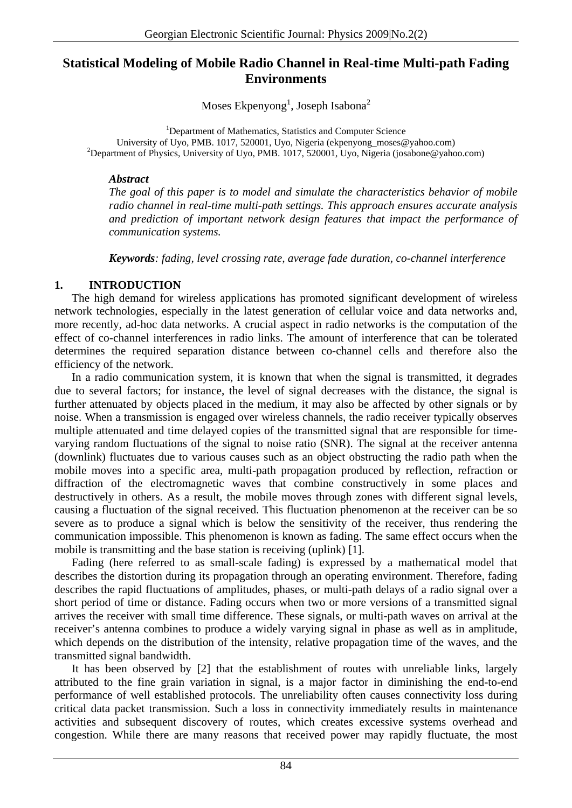# **Statistical Modeling of Mobile Radio Channel in Real-time Multi-path Fading Environments**

Moses Ekpenyong<sup>1</sup>, Joseph Isabona<sup>2</sup>

<sup>1</sup>Department of Mathematics, Statistics and Computer Science University of Uyo, PMB. 1017, 520001, Uyo, Nigeria (ekpenyong moses@yahoo.com) <sup>2</sup>Department of Physics, University of Uyo, PMB. 1017, 520001, Uyo, Nigeria [\(josabone@yahoo.com](mailto:josabone@yahoo.com))

## *Abstract*

*The goal of this paper is to model and simulate the characteristics behavior of mobile radio channel in real-time multi-path settings. This approach ensures accurate analysis and prediction of important network design features that impact the performance of communication systems.* 

*Keywords: fading, level crossing rate, average fade duration, co-channel interference* 

# **1. INTRODUCTION**

The high demand for wireless applications has promoted significant development of wireless network technologies, especially in the latest generation of cellular voice and data networks and, more recently, ad-hoc data networks. A crucial aspect in radio networks is the computation of the effect of co-channel interferences in radio links. The amount of interference that can be tolerated determines the required separation distance between co-channel cells and therefore also the efficiency of the network.

In a radio communication system, it is known that when the signal is transmitted, it degrades due to several factors; for instance, the level of signal decreases with the distance, the signal is further attenuated by objects placed in the medium, it may also be affected by other signals or by noise. When a transmission is engaged over wireless channels, the radio receiver typically observes multiple attenuated and time delayed copies of the transmitted signal that are responsible for timevarying random fluctuations of the signal to noise ratio (SNR). The signal at the receiver antenna (downlink) fluctuates due to various causes such as an object obstructing the radio path when the mobile moves into a specific area, multi-path propagation produced by reflection, refraction or diffraction of the electromagnetic waves that combine constructively in some places and destructively in others. As a result, the mobile moves through zones with different signal levels, causing a fluctuation of the signal received. This fluctuation phenomenon at the receiver can be so severe as to produce a signal which is below the sensitivity of the receiver, thus rendering the communication impossible. This phenomenon is known as fading. The same effect occurs when the mobile is transmitting and the base station is receiving (uplink) [1].

Fading (here referred to as small-scale fading) is expressed by a mathematical model that describes the distortion during its propagation through an operating environment. Therefore, fading describes the rapid fluctuations of amplitudes, phases, or multi-path delays of a radio signal over a short period of time or distance. Fading occurs when two or more versions of a transmitted signal arrives the receiver with small time difference. These signals, or multi-path waves on arrival at the receiver's antenna combines to produce a widely varying signal in phase as well as in amplitude, which depends on the distribution of the intensity, relative propagation time of the waves, and the transmitted signal bandwidth.

It has been observed by [2] that the establishment of routes with unreliable links, largely attributed to the fine grain variation in signal, is a major factor in diminishing the end-to-end performance of well established protocols. The unreliability often causes connectivity loss during critical data packet transmission. Such a loss in connectivity immediately results in maintenance activities and subsequent discovery of routes, which creates excessive systems overhead and congestion. While there are many reasons that received power may rapidly fluctuate, the most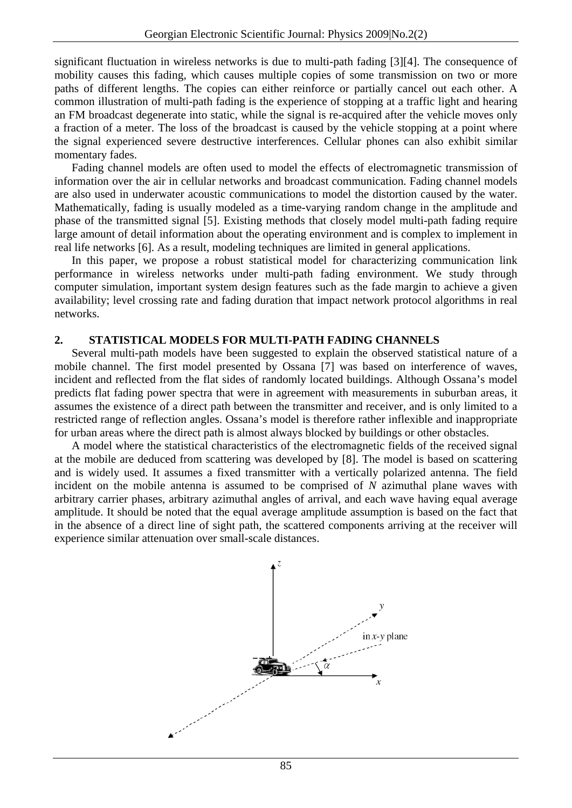significant fluctuation in wireless networks is due to multi-path fading [3][4]. The consequence of mobility causes this fading, which causes multiple copies of some transmission on two or more paths of different lengths. The copies can either reinforce or partially cancel out each other. A common illustration of multi-path fading is the experience of stopping at a traffic light and hearing an FM broadcast degenerate into static, while the signal is re-acquired after the vehicle moves only a fraction of a meter. The loss of the broadcast is caused by the vehicle stopping at a point where the signal experienced severe destructive interferences. Cellular phones can also exhibit similar momentary fades.

Fading channel models are often used to model the effects of electromagnetic transmission of information over the air in cellular networks and broadcast communication. Fading channel models are also used in underwater acoustic communications to model the distortion caused by the water. Mathematically, fading is usually modeled as a time-varying random change in the amplitude and phase of the transmitted signal [5]. Existing methods that closely model multi-path fading require large amount of detail information about the operating environment and is complex to implement in real life networks [6]. As a result, modeling techniques are limited in general applications.

In this paper, we propose a robust statistical model for characterizing communication link performance in wireless networks under multi-path fading environment. We study through computer simulation, important system design features such as the fade margin to achieve a given availability; level crossing rate and fading duration that impact network protocol algorithms in real networks.

## **2. STATISTICAL MODELS FOR MULTI-PATH FADING CHANNELS**

Several multi-path models have been suggested to explain the observed statistical nature of a mobile channel. The first model presented by Ossana [7] was based on interference of waves, incident and reflected from the flat sides of randomly located buildings. Although Ossana's model predicts flat fading power spectra that were in agreement with measurements in suburban areas, it assumes the existence of a direct path between the transmitter and receiver, and is only limited to a restricted range of reflection angles. Ossana's model is therefore rather inflexible and inappropriate for urban areas where the direct path is almost always blocked by buildings or other obstacles.

A model where the statistical characteristics of the electromagnetic fields of the received signal at the mobile are deduced from scattering was developed by [8]. The model is based on scattering and is widely used. It assumes a fixed transmitter with a vertically polarized antenna. The field incident on the mobile antenna is assumed to be comprised of *N* azimuthal plane waves with arbitrary carrier phases, arbitrary azimuthal angles of arrival, and each wave having equal average amplitude. It should be noted that the equal average amplitude assumption is based on the fact that in the absence of a direct line of sight path, the scattered components arriving at the receiver will experience similar attenuation over small-scale distances.

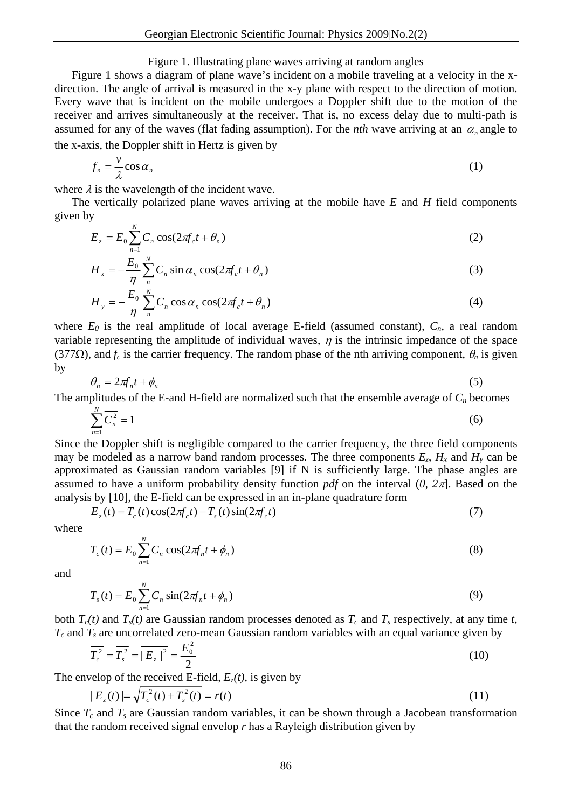### Figure 1. Illustrating plane waves arriving at random angles

Figure 1 shows a diagram of plane wave's incident on a mobile traveling at a velocity in the xdirection. The angle of arrival is measured in the x-y plane with respect to the direction of motion. Every wave that is incident on the mobile undergoes a Doppler shift due to the motion of the receiver and arrives simultaneously at the receiver. That is, no excess delay due to multi-path is assumed for any of the waves (flat fading assumption). For the *nth* wave arriving at an  $\alpha_n$  angle to the x-axis, the Doppler shift in Hertz is given by

$$
f_n = \frac{v}{\lambda} \cos \alpha_n \tag{1}
$$

where  $\lambda$  is the wavelength of the incident wave.

The vertically polarized plane waves arriving at the mobile have *E* and *H* field components given by

$$
E_z = E_0 \sum_{n=1}^{N} C_n \cos(2\pi f_c t + \theta_n)
$$
\n(2)

$$
H_x = -\frac{E_0}{\eta} \sum_{n=1}^{N} C_n \sin \alpha_n \cos(2\pi f_c t + \theta_n)
$$
 (3)

$$
H_{y} = -\frac{E_{0}}{\eta} \sum_{n}^{N} C_{n} \cos \alpha_{n} \cos(2\pi f_{c} t + \theta_{n})
$$
\n(4)

where  $E_0$  is the real amplitude of local average E-field (assumed constant),  $C_n$ , a real random variable representing the amplitude of individual waves,  $\eta$  is the intrinsic impedance of the space (377 $\Omega$ ), and  $f_c$  is the carrier frequency. The random phase of the nth arriving component,  $\theta_n$  is given by

$$
\theta_n = 2\pi f_n t + \phi_n \tag{5}
$$

The amplitudes of the E-and H-field are normalized such that the ensemble average of  $C_n$  becomes

$$
\sum_{n=1}^{N} \overline{C_n^2} = 1 \tag{6}
$$

Since the Doppler shift is negligible compared to the carrier frequency, the three field components may be modeled as a narrow band random processes. The three components  $E_z$ ,  $H_x$  and  $H_y$  can be approximated as Gaussian random variables [9] if N is sufficiently large. The phase angles are assumed to have a uniform probability density function *pdf* on the interval (*0, 2*π]. Based on the analysis by [10], the E-field can be expressed in an in-plane quadrature form

$$
E_z(t) = T_c(t)\cos(2\pi f_c t) - T_s(t)\sin(2\pi f_c t)
$$
\n<sup>(7)</sup>

where

$$
T_c(t) = E_0 \sum_{n=1}^{N} C_n \cos(2\pi f_n t + \phi_n)
$$
\n(8)

and

$$
T_s(t) = E_0 \sum_{n=1}^{N} C_n \sin(2\pi f_n t + \phi_n)
$$
\n(9)

both  $T_c(t)$  and  $T_s(t)$  are Gaussian random processes denoted as  $T_c$  and  $T_s$  respectively, at any time *t*,  $T_c$  and  $T_s$  are uncorrelated zero-mean Gaussian random variables with an equal variance given by

$$
\overline{T_c^2} = \overline{T_s^2} = |\overline{E_z}|^2 = \frac{E_0^2}{2}
$$
 (10)

The envelop of the received E-field,  $E_z(t)$ , is given by

$$
|E_z(t)| = \sqrt{T_c^2(t) + T_s^2(t)} = r(t)
$$
\n(11)

Since  $T_c$  and  $T_s$  are Gaussian random variables, it can be shown through a Jacobean transformation that the random received signal envelop *r* has a Rayleigh distribution given by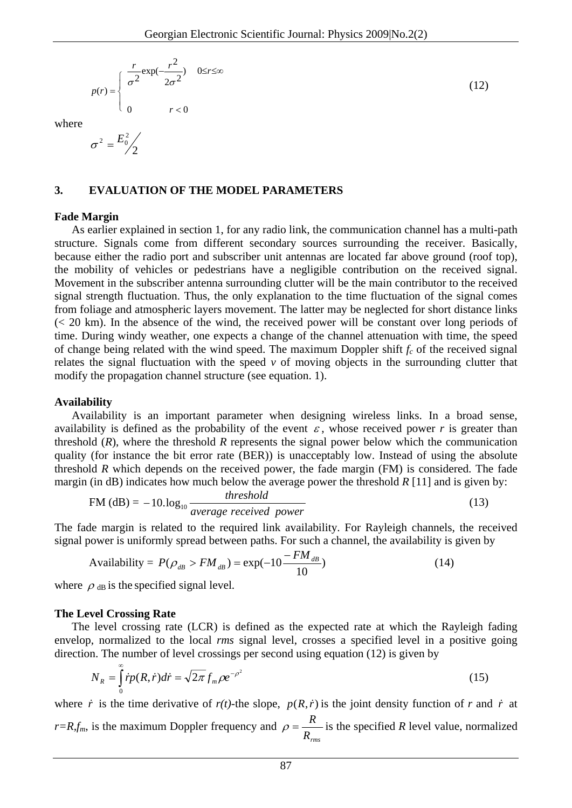$$
p(r) = \begin{cases} \frac{r}{\sigma^2} \exp(-\frac{r^2}{2\sigma^2}) & 0 \le r \le \infty \\ 0 & r < 0 \end{cases}
$$
 (12)

where

$$
\sigma^2 = \frac{E_0^2}{2}
$$

### **3. EVALUATION OF THE MODEL PARAMETERS**

#### **Fade Margin**

As earlier explained in section 1, for any radio link, the communication channel has a multi-path structure. Signals come from different secondary sources surrounding the receiver. Basically, because either the radio port and subscriber unit antennas are located far above ground (roof top), the mobility of vehicles or pedestrians have a negligible contribution on the received signal. Movement in the subscriber antenna surrounding clutter will be the main contributor to the received signal strength fluctuation. Thus, the only explanation to the time fluctuation of the signal comes from foliage and atmospheric layers movement. The latter may be neglected for short distance links  $\ll$  20 km). In the absence of the wind, the received power will be constant over long periods of time. During windy weather, one expects a change of the channel attenuation with time, the speed of change being related with the wind speed. The maximum Doppler shift  $f_c$  of the received signal relates the signal fluctuation with the speed  $\nu$  of moving objects in the surrounding clutter that modify the propagation channel structure (see equation. 1).

#### **Availability**

Availability is an important parameter when designing wireless links. In a broad sense, availability is defined as the probability of the event  $\varepsilon$ , whose received power r is greater than threshold (*R*), where the threshold *R* represents the signal power below which the communication quality (for instance the bit error rate (BER)) is unacceptably low. Instead of using the absolute threshold *R* which depends on the received power, the fade margin (FM) is considered. The fade margin (in dB) indicates how much below the average power the threshold  $R$  [11] and is given by:

$$
FM (dB) = -10. \log_{10} \frac{threshold}{average received power}
$$
 (13)

The fade margin is related to the required link availability. For Rayleigh channels, the received signal power is uniformly spread between paths. For such a channel, the availability is given by

$$
\text{Availability} = P(\rho_{\text{dB}} > FM_{\text{dB}}) = \exp(-10 \frac{-FM_{\text{dB}}}{10}) \tag{14}
$$

where  $\rho_{dB}$  is the specified signal level.

### **The Level Crossing Rate**

The level crossing rate (LCR) is defined as the expected rate at which the Rayleigh fading envelop, normalized to the local *rms* signal level, crosses a specified level in a positive going direction. The number of level crossings per second using equation (12) is given by

$$
N_R = \int_0^\infty \dot{r} p(R, \dot{r}) d\dot{r} = \sqrt{2\pi} f_m \rho e^{-\rho^2}
$$
\n(15)

where *r* is the time derivative of  $r(t)$ -the slope,  $p(R, r)$  is the joint density function of *r* and *r* at *r*=*R*,*f<sub>m</sub>*, is the maximum Doppler frequency and  $\rho = \frac{R}{R_{rms}}$  is the specified *R* level value, normalized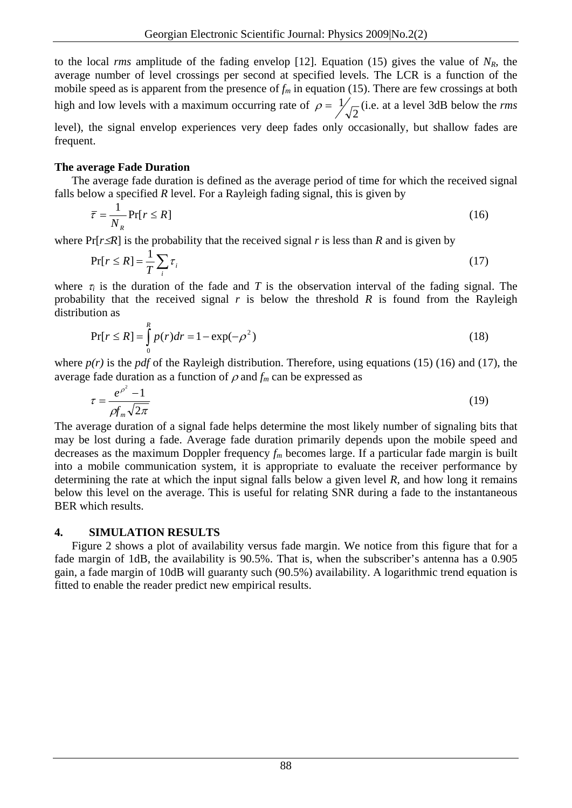to the local *rms* amplitude of the fading envelop [12]. Equation (15) gives the value of  $N_R$ , the average number of level crossings per second at specified levels. The LCR is a function of the mobile speed as is apparent from the presence of  $f_m$  in equation (15). There are few crossings at both high and low levels with a maximum occurring rate of  $\rho = \frac{1}{\sqrt{2}}$  (i.e. at a level 3dB below the *rms* level), the signal envelop experiences very deep fades only occasionally, but shallow fades are

**The average Fade Duration** 

frequent.

The average fade duration is defined as the average period of time for which the received signal falls below a specified *R* level. For a Rayleigh fading signal, this is given by

$$
\bar{\tau} = \frac{1}{N_R} \Pr[r \le R] \tag{16}
$$

where  $Pr[r \leq R]$  is the probability that the received signal *r* is less than *R* and is given by

$$
Pr[r \le R] = \frac{1}{T} \sum_{i} \tau_{i}
$$
\n(17)

where  $\tau_i$  is the duration of the fade and *T* is the observation interval of the fading signal. The probability that the received signal *r* is below the threshold *R* is found from the Rayleigh distribution as

$$
Pr[r \le R] = \int_{0}^{R} p(r)dr = 1 - \exp(-\rho^{2})
$$
\n(18)

where  $p(r)$  is the *pdf* of the Rayleigh distribution. Therefore, using equations (15) (16) and (17), the average fade duration as a function of  $\rho$  and  $f_m$  can be expressed as

$$
\tau = \frac{e^{\rho^2} - 1}{\rho f_m \sqrt{2\pi}}\tag{19}
$$

The average duration of a signal fade helps determine the most likely number of signaling bits that may be lost during a fade. Average fade duration primarily depends upon the mobile speed and decreases as the maximum Doppler frequency *fm* becomes large. If a particular fade margin is built into a mobile communication system, it is appropriate to evaluate the receiver performance by determining the rate at which the input signal falls below a given level *R*, and how long it remains below this level on the average. This is useful for relating SNR during a fade to the instantaneous BER which results.

## **4. SIMULATION RESULTS**

Figure 2 shows a plot of availability versus fade margin. We notice from this figure that for a fade margin of 1dB, the availability is 90.5%. That is, when the subscriber's antenna has a 0.905 gain, a fade margin of 10dB will guaranty such (90.5%) availability. A logarithmic trend equation is fitted to enable the reader predict new empirical results.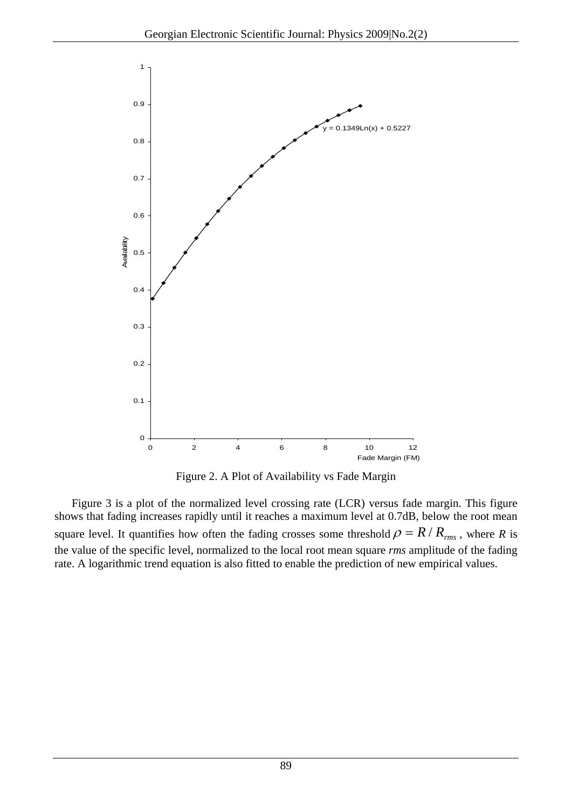

Figure 2. A Plot of Availability vs Fade Margin

Figure 3 is a plot of the normalized level crossing rate (LCR) versus fade margin. This figure shows that fading increases rapidly until it reaches a maximum level at 0.7dB, below the root mean square level. It quantifies how often the fading crosses some threshold  $\rho = R/R_{rms}$ , where *R* is the value of the specific level, normalized to the local root mean square *rms* amplitude of the fading rate. A logarithmic trend equation is also fitted to enable the prediction of new empirical values.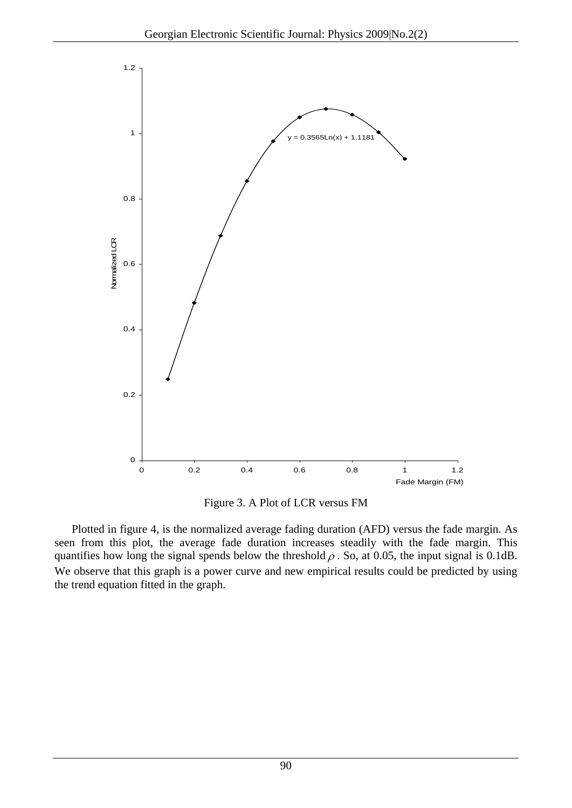

Figure 3. A Plot of LCR versus FM

Plotted in figure 4, is the normalized average fading duration (AFD) versus the fade margin. As seen from this plot, the average fade duration increases steadily with the fade margin. This quantifies how long the signal spends below the threshold  $\rho$ . So, at 0.05, the input signal is 0.1dB. We observe that this graph is a power curve and new empirical results could be predicted by using the trend equation fitted in the graph.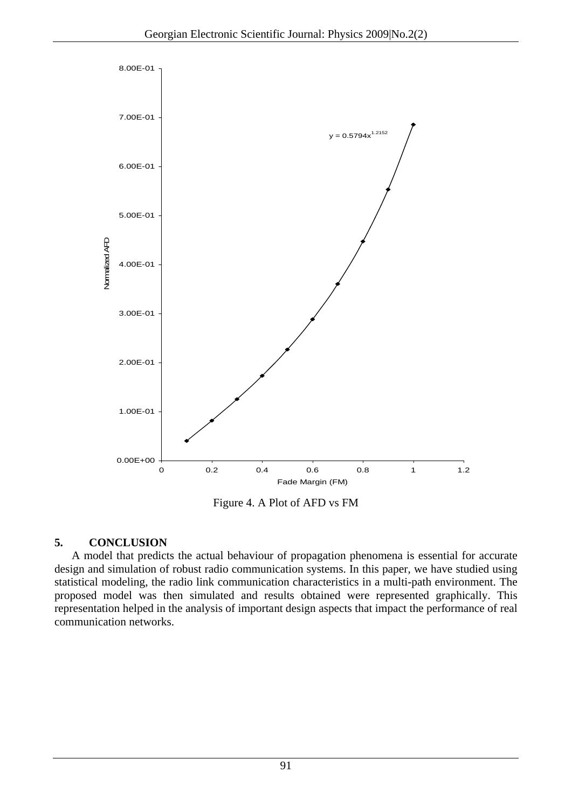

Figure 4. A Plot of AFD vs FM

# **5. CONCLUSION**

A model that predicts the actual behaviour of propagation phenomena is essential for accurate design and simulation of robust radio communication systems. In this paper, we have studied using statistical modeling, the radio link communication characteristics in a multi-path environment. The proposed model was then simulated and results obtained were represented graphically. This representation helped in the analysis of important design aspects that impact the performance of real communication networks.